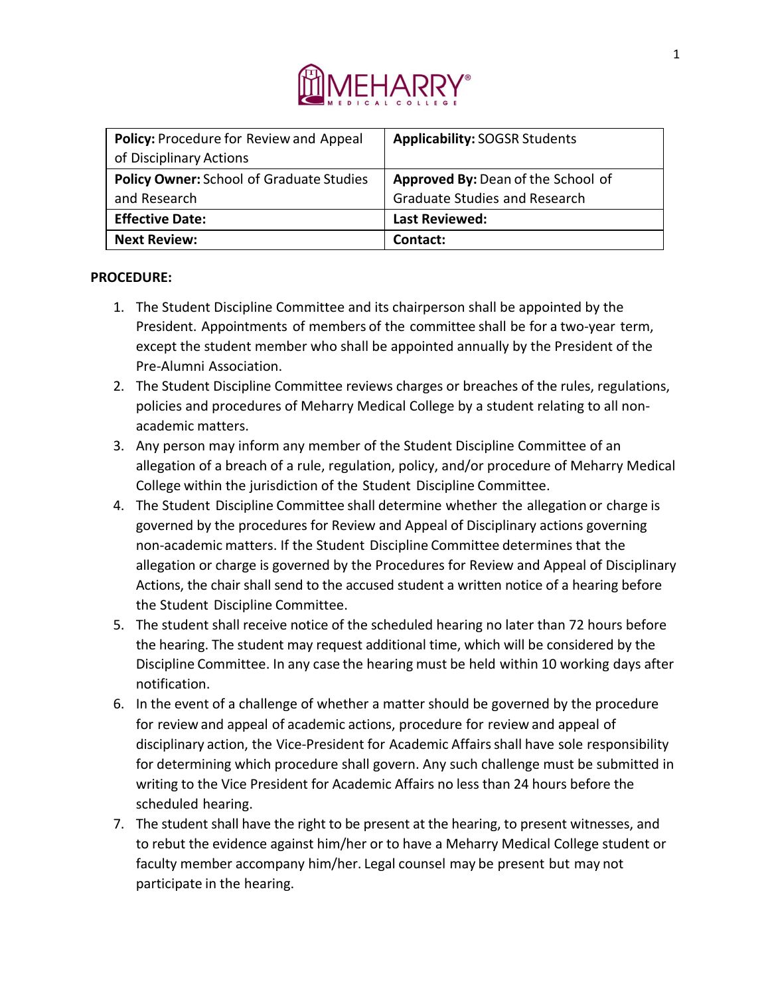

| <b>Policy:</b> Procedure for Review and Appeal<br>of Disciplinary Actions | <b>Applicability: SOGSR Students</b>                                       |
|---------------------------------------------------------------------------|----------------------------------------------------------------------------|
| <b>Policy Owner: School of Graduate Studies</b><br>and Research           | Approved By: Dean of the School of<br><b>Graduate Studies and Research</b> |
| <b>Effective Date:</b>                                                    | <b>Last Reviewed:</b>                                                      |
| <b>Next Review:</b>                                                       | Contact:                                                                   |

## **PROCEDURE:**

- 1. The Student Discipline Committee and its chairperson shall be appointed by the President. Appointments of members of the committee shall be for a two-year term, except the student member who shall be appointed annually by the President of the Pre-Alumni Association.
- 2. The Student Discipline Committee reviews charges or breaches of the rules, regulations, policies and procedures of Meharry Medical College by a student relating to all nonacademic matters.
- 3. Any person may inform any member of the Student Discipline Committee of an allegation of a breach of a rule, regulation, policy, and/or procedure of Meharry Medical College within the jurisdiction of the Student Discipline Committee.
- 4. The Student Discipline Committee shall determine whether the allegation or charge is governed by the procedures for Review and Appeal of Disciplinary actions governing non-academic matters. If the Student Discipline Committee determines that the allegation or charge is governed by the Procedures for Review and Appeal of Disciplinary Actions, the chair shall send to the accused student a written notice of a hearing before the Student Discipline Committee.
- 5. The student shall receive notice of the scheduled hearing no later than 72 hours before the hearing. The student may request additional time, which will be considered by the Discipline Committee. In any case the hearing must be held within 10 working days after notification.
- 6. In the event of a challenge of whether a matter should be governed by the procedure for review and appeal of academic actions, procedure for review and appeal of disciplinary action, the Vice-President for Academic Affairs shall have sole responsibility for determining which procedure shall govern. Any such challenge must be submitted in writing to the Vice President for Academic Affairs no less than 24 hours before the scheduled hearing.
- 7. The student shall have the right to be present at the hearing, to present witnesses, and to rebut the evidence against him/her or to have a Meharry Medical College student or faculty member accompany him/her. Legal counsel may be present but may not participate in the hearing.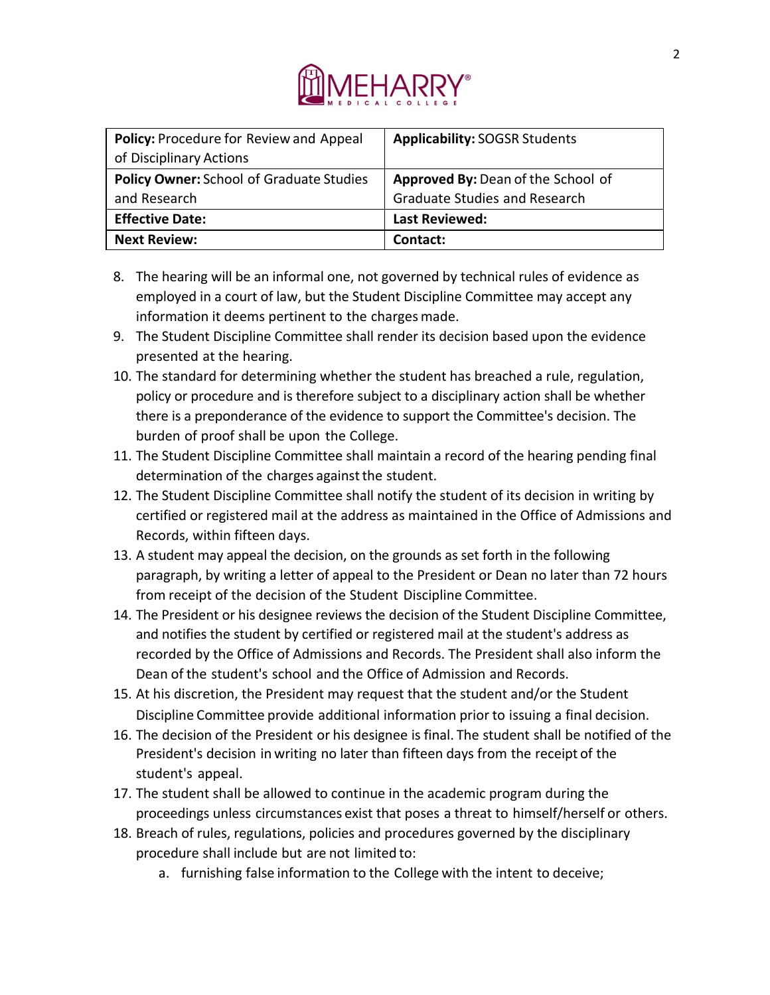

| Policy: Procedure for Review and Appeal<br>of Disciplinary Actions | <b>Applicability: SOGSR Students</b>                                       |
|--------------------------------------------------------------------|----------------------------------------------------------------------------|
| <b>Policy Owner: School of Graduate Studies</b><br>and Research    | Approved By: Dean of the School of<br><b>Graduate Studies and Research</b> |
| <b>Effective Date:</b>                                             | <b>Last Reviewed:</b>                                                      |
| <b>Next Review:</b>                                                | Contact:                                                                   |

- 8. The hearing will be an informal one, not governed by technical rules of evidence as employed in a court of law, but the Student Discipline Committee may accept any information it deems pertinent to the charges made.
- 9. The Student Discipline Committee shall render its decision based upon the evidence presented at the hearing.
- 10. The standard for determining whether the student has breached a rule, regulation, policy or procedure and is therefore subject to a disciplinary action shall be whether there is a preponderance of the evidence to support the Committee's decision. The burden of proof shall be upon the College.
- 11. The Student Discipline Committee shall maintain a record of the hearing pending final determination of the charges against the student.
- 12. The Student Discipline Committee shall notify the student of its decision in writing by certified or registered mail at the address as maintained in the Office of Admissions and Records, within fifteen days.
- 13. A student may appeal the decision, on the grounds as set forth in the following paragraph, by writing a letter of appeal to the President or Dean no later than 72 hours from receipt of the decision of the Student Discipline Committee.
- 14. The President or his designee reviews the decision of the Student Discipline Committee, and notifies the student by certified or registered mail at the student's address as recorded by the Office of Admissions and Records. The President shall also inform the Dean of the student's school and the Office of Admission and Records.
- 15. At his discretion, the President may request that the student and/or the Student Discipline Committee provide additional information prior to issuing a final decision.
- 16. The decision of the President or his designee is final. The student shall be notified of the President's decision in writing no later than fifteen days from the receipt of the student's appeal.
- 17. The student shall be allowed to continue in the academic program during the proceedings unless circumstances exist that poses a threat to himself/herself or others.
- 18. Breach of rules, regulations, policies and procedures governed by the disciplinary procedure shall include but are not limited to:
	- a. furnishing false information to the College with the intent to deceive;